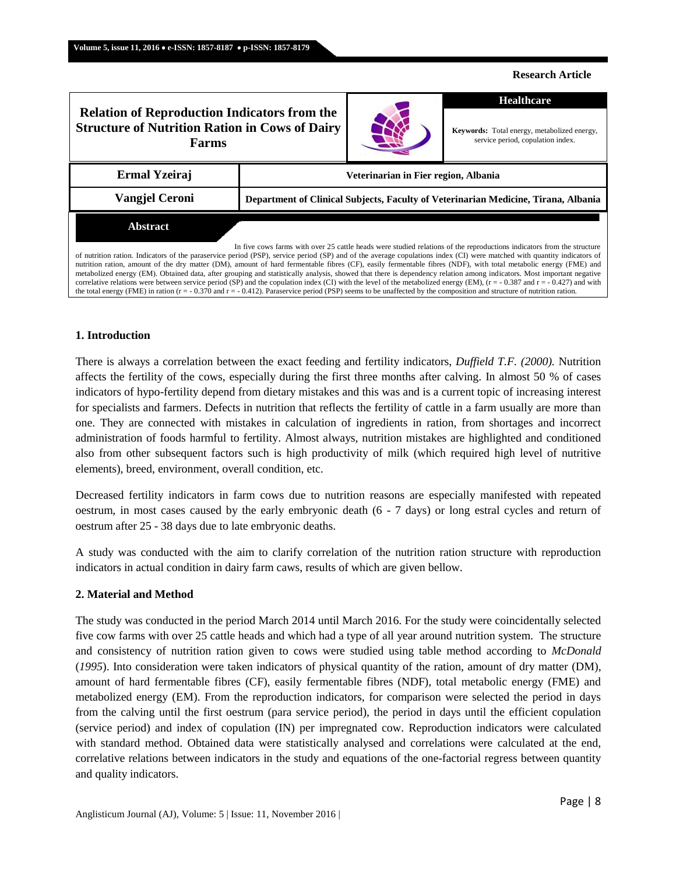#### **Research Article**

# **Ermal Yzeiraj Veterinarian in Fier region, Albania Vangjel Ceroni Department of Clinical Subjects, Faculty of Veterinarian Medicine, Tirana, Albania** In five cows farms with over 25 cattle heads were studied relations of the reproductions indicators from the structure **Relation of Reproduction Indicators from the Structure of Nutrition Ration in Cows of Dairy Farms Healthcare Keywords:** Total energy, metabolized energy, service period, copulation index. **Abstract**

of nutrition ration. Indicators of the paraservice period (PSP), service period (SP) and of the average copulations index (CI) were matched with quantity indicators of nutrition ration, amount of the dry matter (DM), amount of hard fermentable fibres (CF), easily fermentable fibres (NDF), with total metabolic energy (FME) and metabolized energy (EM). Obtained data, after grouping and statistically analysis, showed that there is dependency relation among indicators. Most important negative correlative relations were between service period (SP) and the copulation index (CI) with the level of the metabolized energy (EM),  $(r = -0.387$  and  $r = -0.427)$  and with the total energy (FME) in ration (r = - 0.370 and r = - 0.412). Paraservice period (PSP) seems to be unaffected by the composition and structure of nutrition ration.

#### **1. Introduction**

There is always a correlation between the exact feeding and fertility indicators, *Duffield T.F. (2000).* Nutrition affects the fertility of the cows, especially during the first three months after calving. In almost 50 % of cases indicators of hypo-fertility depend from dietary mistakes and this was and is a current topic of increasing interest for specialists and farmers. Defects in nutrition that reflects the fertility of cattle in a farm usually are more than one. They are connected with mistakes in calculation of ingredients in ration, from shortages and incorrect administration of foods harmful to fertility. Almost always, nutrition mistakes are highlighted and conditioned also from other subsequent factors such is high productivity of milk (which required high level of nutritive elements), breed, environment, overall condition, etc.

Decreased fertility indicators in farm cows due to nutrition reasons are especially manifested with repeated oestrum, in most cases caused by the early embryonic death (6 - 7 days) or long estral cycles and return of oestrum after 25 - 38 days due to late embryonic deaths.

A study was conducted with the aim to clarify correlation of the nutrition ration structure with reproduction indicators in actual condition in dairy farm caws, results of which are given bellow.

#### **2. Material and Method**

The study was conducted in the period March 2014 until March 2016. For the study were coincidentally selected five cow farms with over 25 cattle heads and which had a type of all year around nutrition system. The structure and consistency of nutrition ration given to cows were studied using table method according to *McDonald* (*1995*). Into consideration were taken indicators of physical quantity of the ration, amount of dry matter (DM), amount of hard fermentable fibres (CF), easily fermentable fibres (NDF), total metabolic energy (FME) and metabolized energy (EM). From the reproduction indicators, for comparison were selected the period in days from the calving until the first oestrum (para service period), the period in days until the efficient copulation (service period) and index of copulation (IN) per impregnated cow. Reproduction indicators were calculated with standard method. Obtained data were statistically analysed and correlations were calculated at the end, correlative relations between indicators in the study and equations of the one-factorial regress between quantity and quality indicators.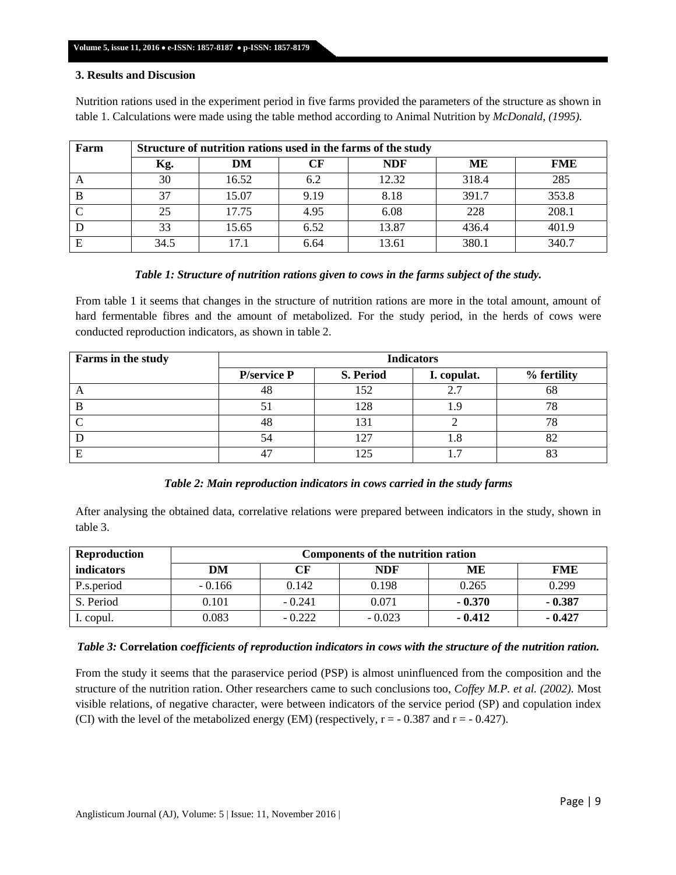### **3. Results and Discusion**

Nutrition rations used in the experiment period in five farms provided the parameters of the structure as shown in table 1. Calculations were made using the table method according to Animal Nutrition by *McDonald, (1995).*

| Farm | Structure of nutrition rations used in the farms of the study |       |      |            |       |            |  |  |
|------|---------------------------------------------------------------|-------|------|------------|-------|------------|--|--|
|      | Kg.                                                           | DM    | СF   | <b>NDF</b> | MЕ    | <b>FME</b> |  |  |
|      | 30                                                            | 16.52 | 6.2  | 12.32      | 318.4 | 285        |  |  |
|      | 37                                                            | 15.07 | 9.19 | 8.18       | 391.7 | 353.8      |  |  |
|      | 25                                                            | 17.75 | 4.95 | 6.08       | 228   | 208.1      |  |  |
|      | 33                                                            | 15.65 | 6.52 | 13.87      | 436.4 | 401.9      |  |  |
| Ε    | 34.5                                                          |       | 6.64 | 13.61      | 380.1 | 340.7      |  |  |

### *Table 1: Structure of nutrition rations given to cows in the farms subject of the study.*

From table 1 it seems that changes in the structure of nutrition rations are more in the total amount, amount of hard fermentable fibres and the amount of metabolized. For the study period, in the herds of cows were conducted reproduction indicators, as shown in table 2.

| Farms in the study | <b>Indicators</b>   |           |             |             |  |  |
|--------------------|---------------------|-----------|-------------|-------------|--|--|
|                    | <b>P</b> /service P | S. Period | I. copulat. | % fertility |  |  |
| n.                 | 48                  | 152       | 2.7         | 68          |  |  |
|                    |                     | 128       |             |             |  |  |
|                    | 48                  | 131       |             |             |  |  |
|                    |                     | 127       |             |             |  |  |
|                    |                     |           |             |             |  |  |

# *Table 2: Main reproduction indicators in cows carried in the study farms*

After analysing the obtained data, correlative relations were prepared between indicators in the study, shown in table 3.

| <b>Reproduction</b> | Components of the nutrition ration |          |            |          |            |  |  |
|---------------------|------------------------------------|----------|------------|----------|------------|--|--|
| indicators          | DM                                 | CF       | <b>NDF</b> | ME       | <b>FME</b> |  |  |
| P.s.period          | $-0.166$                           | 0.142    | 0.198      | 0.265    | 0.299      |  |  |
| S. Period           | 0.101                              | $-0.241$ | 0.071      | $-0.370$ | $-0.387$   |  |  |
| I. copul.           | 0.083                              | $-0.222$ | $-0.023$   | $-0.412$ | $-0.427$   |  |  |

# *Table 3:* **Correlation** *coefficients of reproduction indicators in cows with the structure of the nutrition ration.*

From the study it seems that the paraservice period (PSP) is almost uninfluenced from the composition and the structure of the nutrition ration. Other researchers came to such conclusions too, *Coffey M.P. et al. (2002).* Most visible relations, of negative character, were between indicators of the service period (SP) and copulation index (CI) with the level of the metabolized energy (EM) (respectively,  $r = -0.387$  and  $r = -0.427$ ).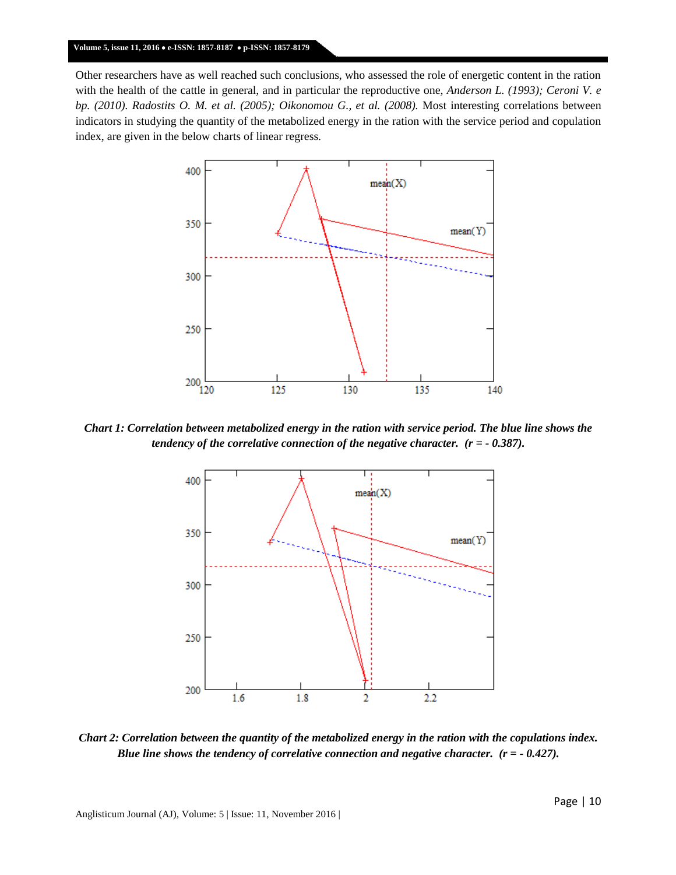Other researchers have as well reached such conclusions, who assessed the role of energetic content in the ration with the health of the cattle in general, and in particular the reproductive one, *Anderson L. (1993); Ceroni V. e bp. (2010). Radostits O. M. et al. (2005); Oikonomou G., et al. (2008).* Most interesting correlations between indicators in studying the quantity of the metabolized energy in the ration with the service period and copulation index, are given in the below charts of linear regress.



*Chart 1: Correlation between metabolized energy in the ration with service period. The blue line shows the tendency of the correlative connection of the negative character. (r = - 0.387).*



*Chart 2: Correlation between the quantity of the metabolized energy in the ration with the copulations index. Blue line shows the tendency of correlative connection and negative character. (r = - 0.427).*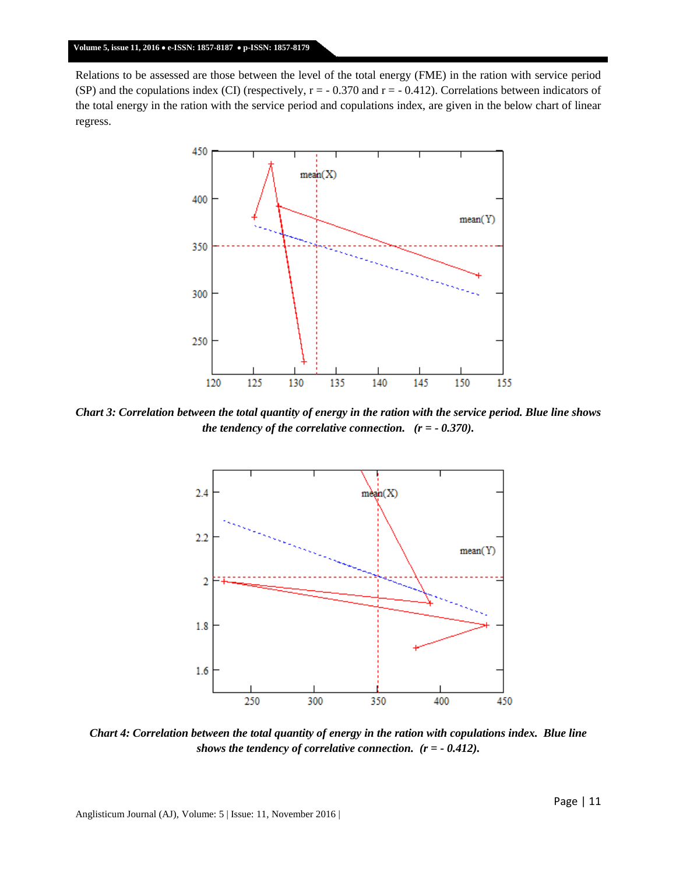Relations to be assessed are those between the level of the total energy (FME) in the ration with service period (SP) and the copulations index (CI) (respectively,  $r = -0.370$  and  $r = -0.412$ ). Correlations between indicators of the total energy in the ration with the service period and copulations index, are given in the below chart of linear regress.



*Chart 3: Correlation between the total quantity of energy in the ration with the service period. Blue line shows the tendency of the correlative connection. (r = - 0.370).*



*Chart 4: Correlation between the total quantity of energy in the ration with copulations index. Blue line shows the tendency of correlative connection. (r = - 0.412).*